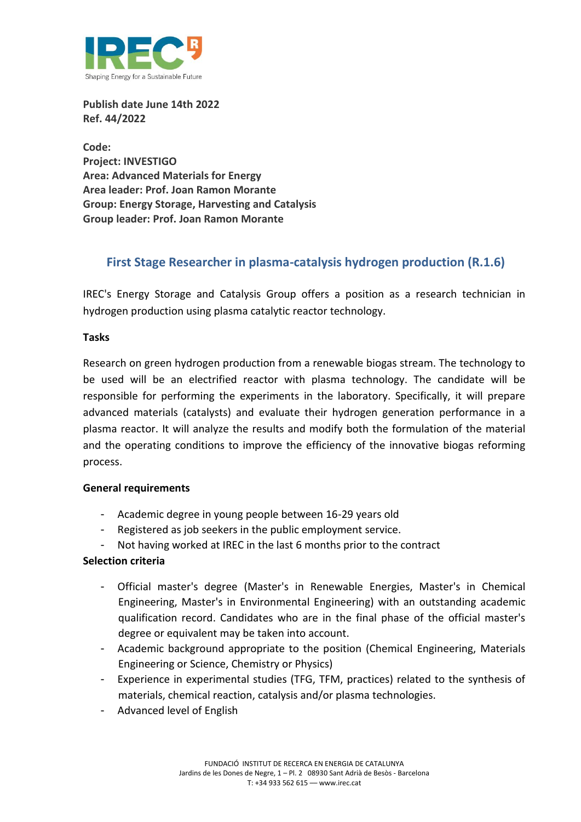

**Publish date June 14th 2022 Ref. 44/2022**

**Code: Project: INVESTIGO Area: Advanced Materials for Energy Area leader: Prof. Joan Ramon Morante Group: Energy Storage, Harvesting and Catalysis Group leader: Prof. Joan Ramon Morante**

# **First Stage Researcher in plasma-catalysis hydrogen production (R.1.6)**

IREC's Energy Storage and Catalysis Group offers a position as a research technician in hydrogen production using plasma catalytic reactor technology.

# **Tasks**

Research on green hydrogen production from a renewable biogas stream. The technology to be used will be an electrified reactor with plasma technology. The candidate will be responsible for performing the experiments in the laboratory. Specifically, it will prepare advanced materials (catalysts) and evaluate their hydrogen generation performance in a plasma reactor. It will analyze the results and modify both the formulation of the material and the operating conditions to improve the efficiency of the innovative biogas reforming process.

#### **General requirements**

- Academic degree in young people between 16-29 years old
- Registered as job seekers in the public employment service.
- Not having worked at IREC in the last 6 months prior to the contract

# **Selection criteria**

- Official master's degree (Master's in Renewable Energies, Master's in Chemical Engineering, Master's in Environmental Engineering) with an outstanding academic qualification record. Candidates who are in the final phase of the official master's degree or equivalent may be taken into account.
- Academic background appropriate to the position (Chemical Engineering, Materials Engineering or Science, Chemistry or Physics)
- Experience in experimental studies (TFG, TFM, practices) related to the synthesis of materials, chemical reaction, catalysis and/or plasma technologies.
- Advanced level of English